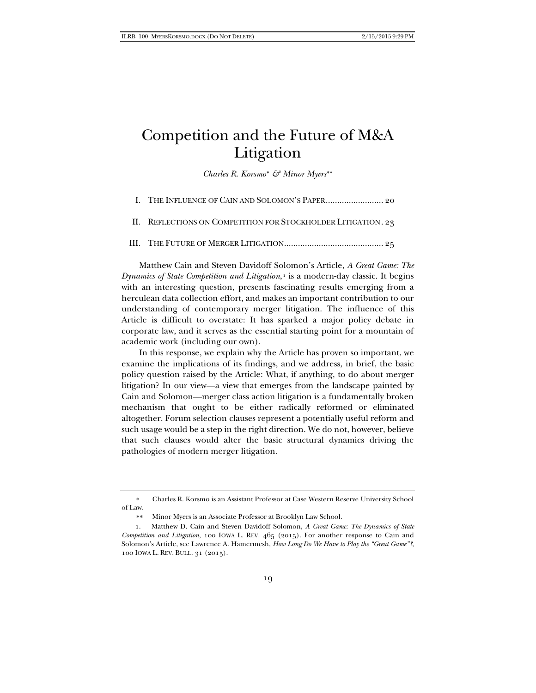## Competition and the Future of M&A Litigation

*Charles R. Korsmo*[∗](#page-0-0) *& Minor Myers*[∗∗](#page-0-1)

| II. REFLECTIONS ON COMPETITION FOR STOCKHOLDER LITIGATION. 23 |
|---------------------------------------------------------------|
|                                                               |

Matthew Cain and Steven Davidoff Solomon's Article, *A Great Game: The Dynamics of State Competition and Litigation*,<sup>[1](#page-0-2)</sup> is a modern-day classic. It begins with an interesting question, presents fascinating results emerging from a herculean data collection effort, and makes an important contribution to our understanding of contemporary merger litigation. The influence of this Article is difficult to overstate: It has sparked a major policy debate in corporate law, and it serves as the essential starting point for a mountain of academic work (including our own).

In this response, we explain why the Article has proven so important, we examine the implications of its findings, and we address, in brief, the basic policy question raised by the Article: What, if anything, to do about merger litigation? In our view—a view that emerges from the landscape painted by Cain and Solomon—merger class action litigation is a fundamentally broken mechanism that ought to be either radically reformed or eliminated altogether. Forum selection clauses represent a potentially useful reform and such usage would be a step in the right direction. We do not, however, believe that such clauses would alter the basic structural dynamics driving the pathologies of modern merger litigation.

<span id="page-0-0"></span>∗ Charles R. Korsmo is an Assistant Professor at Case Western Reserve University School of Law.

∗∗ Minor Myers is an Associate Professor at Brooklyn Law School.

<span id="page-0-2"></span><span id="page-0-1"></span><sup>1.</sup> Matthew D. Cain and Steven Davidoff Solomon, *A Great Game: The Dynamics of State Competition and Litigation*, 100 IOWA L. REV. 465 (2015). For another response to Cain and Solomon's Article, see Lawrence A. Hamermesh, *How Long Do We Have to Play the "Great Game"?*, 100 IOWA L. REV. BULL. 31 (2015).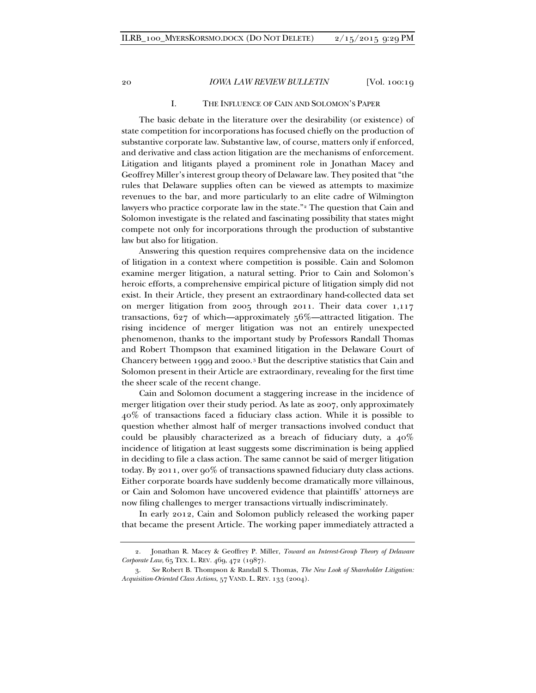## I. THE INFLUENCE OF CAIN AND SOLOMON'S PAPER

The basic debate in the literature over the desirability (or existence) of state competition for incorporations has focused chiefly on the production of substantive corporate law. Substantive law, of course, matters only if enforced, and derivative and class action litigation are the mechanisms of enforcement. Litigation and litigants played a prominent role in Jonathan Macey and Geoffrey Miller's interest group theory of Delaware law. They posited that "the rules that Delaware supplies often can be viewed as attempts to maximize revenues to the bar, and more particularly to an elite cadre of Wilmington lawyers who practice corporate law in the state."<sup>[2](#page-1-0)</sup> The question that Cain and Solomon investigate is the related and fascinating possibility that states might compete not only for incorporations through the production of substantive law but also for litigation.

Answering this question requires comprehensive data on the incidence of litigation in a context where competition is possible. Cain and Solomon examine merger litigation, a natural setting. Prior to Cain and Solomon's heroic efforts, a comprehensive empirical picture of litigation simply did not exist. In their Article, they present an extraordinary hand-collected data set on merger litigation from 2005 through 2011. Their data cover 1,117 transactions, 627 of which—approximately 56%—attracted litigation. The rising incidence of merger litigation was not an entirely unexpected phenomenon, thanks to the important study by Professors Randall Thomas and Robert Thompson that examined litigation in the Delaware Court of Chancery between 1999 and 2000.[3](#page-1-1) But the descriptive statistics that Cain and Solomon present in their Article are extraordinary, revealing for the first time the sheer scale of the recent change.

Cain and Solomon document a staggering increase in the incidence of merger litigation over their study period. As late as 2007, only approximately 40% of transactions faced a fiduciary class action. While it is possible to question whether almost half of merger transactions involved conduct that could be plausibly characterized as a breach of fiduciary duty, a  $40\%$ incidence of litigation at least suggests some discrimination is being applied in deciding to file a class action. The same cannot be said of merger litigation today. By 2011, over 90% of transactions spawned fiduciary duty class actions. Either corporate boards have suddenly become dramatically more villainous, or Cain and Solomon have uncovered evidence that plaintiffs' attorneys are now filing challenges to merger transactions virtually indiscriminately.

In early 2012, Cain and Solomon publicly released the working paper that became the present Article. The working paper immediately attracted a

<span id="page-1-0"></span><sup>2.</sup> Jonathan R. Macey & Geoffrey P. Miller, *Toward an Interest-Group Theory of Delaware Corporate Law*, 65 TEX. L. REV. 469, 472 (1987).

<span id="page-1-1"></span><sup>3.</sup> *See* Robert B. Thompson & Randall S. Thomas, *The New Look of Shareholder Litigation: Acquisition-Oriented Class Actions*, 57 VAND. L. REV. 133 (2004).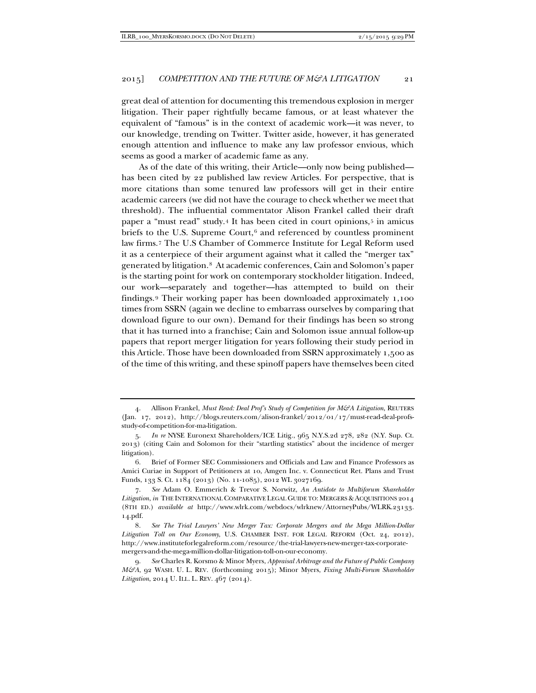great deal of attention for documenting this tremendous explosion in merger litigation. Their paper rightfully became famous, or at least whatever the equivalent of "famous" is in the context of academic work—it was never, to our knowledge, trending on Twitter. Twitter aside, however, it has generated enough attention and influence to make any law professor envious, which seems as good a marker of academic fame as any.

As of the date of this writing, their Article—only now being published has been cited by 22 published law review Articles. For perspective, that is more citations than some tenured law professors will get in their entire academic careers (we did not have the courage to check whether we meet that threshold). The influential commentator Alison Frankel called their draft paper a "must read" study.[4](#page-2-0) It has been cited in court opinions,[5](#page-2-1) in amicus briefs to the U.S. Supreme Court, $6$  and referenced by countless prominent law firms.[7](#page-2-3) The U.S Chamber of Commerce Institute for Legal Reform used it as a centerpiece of their argument against what it called the "merger tax" generated by litigation.[8](#page-2-4) At academic conferences, Cain and Solomon's paper is the starting point for work on contemporary stockholder litigation. Indeed, our work—separately and together—has attempted to build on their findings.[9](#page-2-5) Their working paper has been downloaded approximately 1,100 times from SSRN (again we decline to embarrass ourselves by comparing that download figure to our own). Demand for their findings has been so strong that it has turned into a franchise; Cain and Solomon issue annual follow-up papers that report merger litigation for years following their study period in this Article. Those have been downloaded from SSRN approximately 1,500 as of the time of this writing, and these spinoff papers have themselves been cited

<span id="page-2-0"></span><sup>4.</sup> Allison Frankel, *Must Read: Deal Prof's Study of Competition for M&A Litigation*, REUTERS (Jan. 17, 2012), http://blogs.reuters.com/alison-frankel/2012/01/17/must-read-deal-profsstudy-of-competition-for-ma-litigation.

<span id="page-2-1"></span><sup>5.</sup> *In re* NYSE Euronext Shareholders/ICE Litig., 965 N.Y.S.2d 278, 282 (N.Y. Sup. Ct. 2013) (citing Cain and Solomon for their "startling statistics" about the incidence of merger litigation).

<span id="page-2-2"></span><sup>6.</sup> Brief of Former SEC Commissioners and Officials and Law and Finance Professors as Amici Curiae in Support of Petitioners at 10, Amgen Inc. v. Connecticut Ret. Plans and Trust Funds, 133 S. Ct. 1184 (2013) (No. 11-1085), 2012 WL 3027169.

<span id="page-2-3"></span><sup>7.</sup> *See* Adam O. Emmerich & Trevor S. Norwitz, *An Antidote to Multiforum Shareholder Litigation*, *in* THE INTERNATIONAL COMPARATIVE LEGAL GUIDE TO: MERGERS & ACQUISITIONS 2014 (8TH ED.) *available at* http://www.wlrk.com/webdocs/wlrknew/AttorneyPubs/WLRK.23133. 14.pdf.

<span id="page-2-4"></span><sup>8.</sup> *See The Trial Lawyers' New Merger Tax: Corporate Mergers and the Mega Million-Dollar Litigation Toll on Our Economy*, U.S. CHAMBER INST. FOR LEGAL REFORM (Oct. 24, 2012), http://www.instituteforlegalreform.com/resource/the-trial-lawyers-new-merger-tax-corporatemergers-and-the-mega-million-dollar-litigation-toll-on-our-economy.

<span id="page-2-5"></span><sup>9.</sup> *See* Charles R. Korsmo & Minor Myers, *Appraisal Arbitrage and the Future of Public Company M&A*, 92 WASH. U. L. REV. (forthcoming 2015); Minor Myers, *Fixing Multi-Forum Shareholder Litigation*, 2014 U. ILL. L. REV. 467 (2014).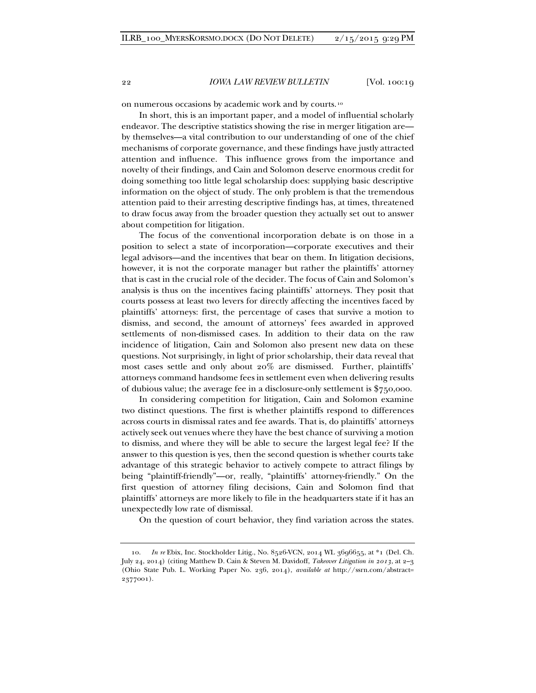on numerous occasions by academic work and by courts.[10](#page-3-0)

In short, this is an important paper, and a model of influential scholarly endeavor. The descriptive statistics showing the rise in merger litigation are by themselves—a vital contribution to our understanding of one of the chief mechanisms of corporate governance, and these findings have justly attracted attention and influence. This influence grows from the importance and novelty of their findings, and Cain and Solomon deserve enormous credit for doing something too little legal scholarship does: supplying basic descriptive information on the object of study. The only problem is that the tremendous attention paid to their arresting descriptive findings has, at times, threatened to draw focus away from the broader question they actually set out to answer about competition for litigation.

The focus of the conventional incorporation debate is on those in a position to select a state of incorporation—corporate executives and their legal advisors—and the incentives that bear on them. In litigation decisions, however, it is not the corporate manager but rather the plaintiffs' attorney that is cast in the crucial role of the decider. The focus of Cain and Solomon's analysis is thus on the incentives facing plaintiffs' attorneys. They posit that courts possess at least two levers for directly affecting the incentives faced by plaintiffs' attorneys: first, the percentage of cases that survive a motion to dismiss, and second, the amount of attorneys' fees awarded in approved settlements of non-dismissed cases. In addition to their data on the raw incidence of litigation, Cain and Solomon also present new data on these questions. Not surprisingly, in light of prior scholarship, their data reveal that most cases settle and only about 20% are dismissed. Further, plaintiffs' attorneys command handsome fees in settlement even when delivering results of dubious value; the average fee in a disclosure-only settlement is \$750,000.

In considering competition for litigation, Cain and Solomon examine two distinct questions. The first is whether plaintiffs respond to differences across courts in dismissal rates and fee awards. That is, do plaintiffs' attorneys actively seek out venues where they have the best chance of surviving a motion to dismiss, and where they will be able to secure the largest legal fee? If the answer to this question is yes, then the second question is whether courts take advantage of this strategic behavior to actively compete to attract filings by being "plaintiff-friendly"—or, really, "plaintiffs' attorney-friendly." On the first question of attorney filing decisions, Cain and Solomon find that plaintiffs' attorneys are more likely to file in the headquarters state if it has an unexpectedly low rate of dismissal.

On the question of court behavior, they find variation across the states.

<span id="page-3-0"></span><sup>10.</sup> *In re* Ebix, Inc. Stockholder Litig., No. 8526-VCN, 2014 WL 3696655, at \*1 (Del. Ch. July 24, 2014) (citing Matthew D. Cain & Steven M. Davidoff, *Takeover Litigation in 2013*, at 2–3 (Ohio State Pub. L. Working Paper No. 236, 2014), *available at* http://ssrn.com/abstract= 2377001).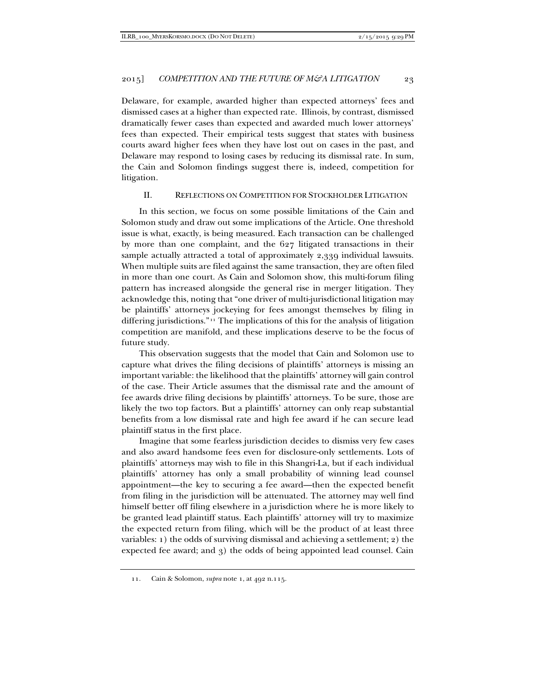Delaware, for example, awarded higher than expected attorneys' fees and dismissed cases at a higher than expected rate. Illinois, by contrast, dismissed dramatically fewer cases than expected and awarded much lower attorneys' fees than expected. Their empirical tests suggest that states with business courts award higher fees when they have lost out on cases in the past, and Delaware may respond to losing cases by reducing its dismissal rate. In sum, the Cain and Solomon findings suggest there is, indeed, competition for litigation.

## II. REFLECTIONS ON COMPETITION FOR STOCKHOLDER LITIGATION

In this section, we focus on some possible limitations of the Cain and Solomon study and draw out some implications of the Article. One threshold issue is what, exactly, is being measured. Each transaction can be challenged by more than one complaint, and the 627 litigated transactions in their sample actually attracted a total of approximately 2,339 individual lawsuits. When multiple suits are filed against the same transaction, they are often filed in more than one court. As Cain and Solomon show, this multi-forum filing pattern has increased alongside the general rise in merger litigation. They acknowledge this, noting that "one driver of multi-jurisdictional litigation may be plaintiffs' attorneys jockeying for fees amongst themselves by filing in differing jurisdictions."[11](#page-4-0) The implications of this for the analysis of litigation competition are manifold, and these implications deserve to be the focus of future study.

This observation suggests that the model that Cain and Solomon use to capture what drives the filing decisions of plaintiffs' attorneys is missing an important variable: the likelihood that the plaintiffs' attorney will gain control of the case. Their Article assumes that the dismissal rate and the amount of fee awards drive filing decisions by plaintiffs' attorneys. To be sure, those are likely the two top factors. But a plaintiffs' attorney can only reap substantial benefits from a low dismissal rate and high fee award if he can secure lead plaintiff status in the first place.

Imagine that some fearless jurisdiction decides to dismiss very few cases and also award handsome fees even for disclosure-only settlements. Lots of plaintiffs' attorneys may wish to file in this Shangri-La, but if each individual plaintiffs' attorney has only a small probability of winning lead counsel appointment—the key to securing a fee award—then the expected benefit from filing in the jurisdiction will be attenuated. The attorney may well find himself better off filing elsewhere in a jurisdiction where he is more likely to be granted lead plaintiff status. Each plaintiffs' attorney will try to maximize the expected return from filing, which will be the product of at least three variables: 1) the odds of surviving dismissal and achieving a settlement; 2) the expected fee award; and 3) the odds of being appointed lead counsel. Cain

<span id="page-4-0"></span><sup>11.</sup> Cain & Solomon, *supra* note 1, at 492 n.115.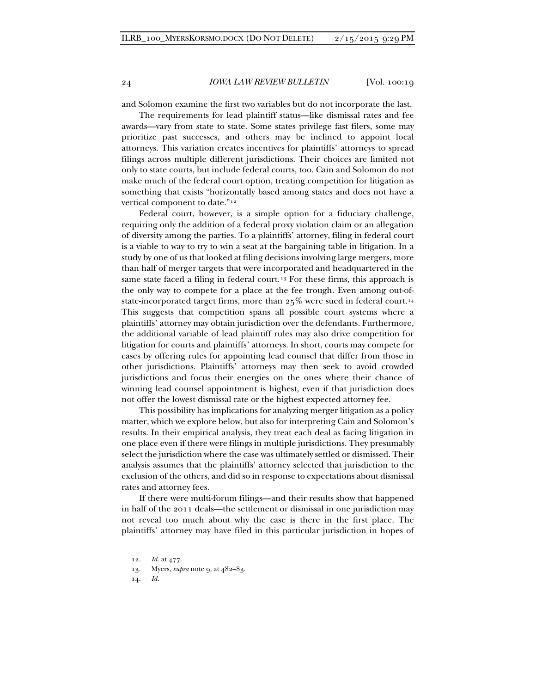and Solomon examine the first two variables but do not incorporate the last.

The requirements for lead plaintiff status—like dismissal rates and fee awards—vary from state to state. Some states privilege fast filers, some may prioritize past successes, and others may be inclined to appoint local attorneys. This variation creates incentives for plaintiffs' attorneys to spread filings across multiple different jurisdictions. Their choices are limited not only to state courts, but include federal courts, too. Cain and Solomon do not make much of the federal court option, treating competition for litigation as something that exists "horizontally based among states and does not have a vertical component to date."<sup>[12](#page-5-0)</sup>

Federal court, however, is a simple option for a fiduciary challenge, requiring only the addition of a federal proxy violation claim or an allegation of diversity among the parties. To a plaintiffs' attorney, filing in federal court is a viable to way to try to win a seat at the bargaining table in litigation. In a study by one of us that looked at filing decisions involving large mergers, more than half of merger targets that were incorporated and headquartered in the same state faced a filing in federal court.<sup>[13](#page-5-1)</sup> For these firms, this approach is the only way to compete for a place at the fee trough. Even among out-ofstate-incorporated target firms, more than 25% were sued in federal court.[14](#page-5-2) This suggests that competition spans all possible court systems where a plaintiffs' attorney may obtain jurisdiction over the defendants. Furthermore, the additional variable of lead plaintiff rules may also drive competition for litigation for courts and plaintiffs' attorneys. In short, courts may compete for cases by offering rules for appointing lead counsel that differ from those in other jurisdictions. Plaintiffs' attorneys may then seek to avoid crowded jurisdictions and focus their energies on the ones where their chance of winning lead counsel appointment is highest, even if that jurisdiction does not offer the lowest dismissal rate or the highest expected attorney fee.

This possibility has implications for analyzing merger litigation as a policy matter, which we explore below, but also for interpreting Cain and Solomon's results. In their empirical analysis, they treat each deal as facing litigation in one place even if there were filings in multiple jurisdictions. They presumably select the jurisdiction where the case was ultimately settled or dismissed. Their analysis assumes that the plaintiffs' attorney selected that jurisdiction to the exclusion of the others, and did so in response to expectations about dismissal rates and attorney fees.

If there were multi-forum filings—and their results show that happened in half of the 2011 deals—the settlement or dismissal in one jurisdiction may not reveal too much about why the case is there in the first place. The plaintiffs' attorney may have filed in this particular jurisdiction in hopes of

<sup>12.</sup> *Id.* at 477.

<span id="page-5-2"></span><span id="page-5-1"></span><span id="page-5-0"></span><sup>13.</sup> Myers, *supra* note 9, at 482–83.

<sup>14.</sup> *Id.*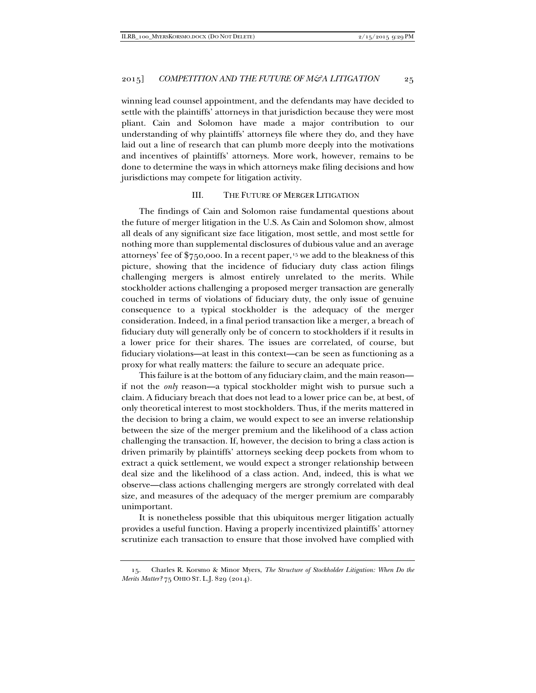winning lead counsel appointment, and the defendants may have decided to settle with the plaintiffs' attorneys in that jurisdiction because they were most pliant. Cain and Solomon have made a major contribution to our understanding of why plaintiffs' attorneys file where they do, and they have laid out a line of research that can plumb more deeply into the motivations and incentives of plaintiffs' attorneys. More work, however, remains to be done to determine the ways in which attorneys make filing decisions and how jurisdictions may compete for litigation activity.

## III. THE FUTURE OF MERGER LITIGATION

The findings of Cain and Solomon raise fundamental questions about the future of merger litigation in the U.S. As Cain and Solomon show, almost all deals of any significant size face litigation, most settle, and most settle for nothing more than supplemental disclosures of dubious value and an average attorneys' fee of  $\frac{6}{750,000}$ . In a recent paper,<sup>[15](#page-6-0)</sup> we add to the bleakness of this picture, showing that the incidence of fiduciary duty class action filings challenging mergers is almost entirely unrelated to the merits. While stockholder actions challenging a proposed merger transaction are generally couched in terms of violations of fiduciary duty, the only issue of genuine consequence to a typical stockholder is the adequacy of the merger consideration. Indeed, in a final period transaction like a merger, a breach of fiduciary duty will generally only be of concern to stockholders if it results in a lower price for their shares. The issues are correlated, of course, but fiduciary violations—at least in this context—can be seen as functioning as a proxy for what really matters: the failure to secure an adequate price.

This failure is at the bottom of any fiduciary claim, and the main reason if not the *only* reason—a typical stockholder might wish to pursue such a claim. A fiduciary breach that does not lead to a lower price can be, at best, of only theoretical interest to most stockholders. Thus, if the merits mattered in the decision to bring a claim, we would expect to see an inverse relationship between the size of the merger premium and the likelihood of a class action challenging the transaction. If, however, the decision to bring a class action is driven primarily by plaintiffs' attorneys seeking deep pockets from whom to extract a quick settlement, we would expect a stronger relationship between deal size and the likelihood of a class action. And, indeed, this is what we observe—class actions challenging mergers are strongly correlated with deal size, and measures of the adequacy of the merger premium are comparably unimportant.

It is nonetheless possible that this ubiquitous merger litigation actually provides a useful function. Having a properly incentivized plaintiffs' attorney scrutinize each transaction to ensure that those involved have complied with

<span id="page-6-0"></span><sup>15.</sup> Charles R. Korsmo & Minor Myers, *The Structure of Stockholder Litigation: When Do the Merits Matter?* 75 OHIO ST. L.J. 829 (2014).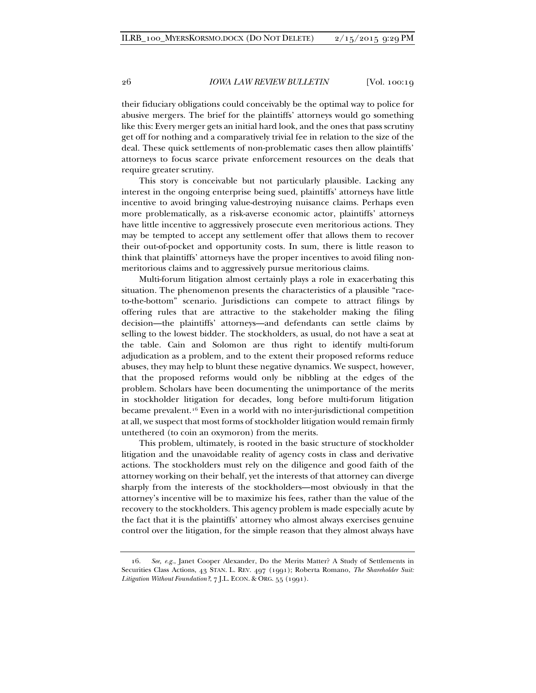their fiduciary obligations could conceivably be the optimal way to police for abusive mergers. The brief for the plaintiffs' attorneys would go something like this: Every merger gets an initial hard look, and the ones that pass scrutiny get off for nothing and a comparatively trivial fee in relation to the size of the deal. These quick settlements of non-problematic cases then allow plaintiffs' attorneys to focus scarce private enforcement resources on the deals that require greater scrutiny.

This story is conceivable but not particularly plausible. Lacking any interest in the ongoing enterprise being sued, plaintiffs' attorneys have little incentive to avoid bringing value-destroying nuisance claims. Perhaps even more problematically, as a risk-averse economic actor, plaintiffs' attorneys have little incentive to aggressively prosecute even meritorious actions. They may be tempted to accept any settlement offer that allows them to recover their out-of-pocket and opportunity costs. In sum, there is little reason to think that plaintiffs' attorneys have the proper incentives to avoid filing nonmeritorious claims and to aggressively pursue meritorious claims.

Multi-forum litigation almost certainly plays a role in exacerbating this situation. The phenomenon presents the characteristics of a plausible "raceto-the-bottom" scenario. Jurisdictions can compete to attract filings by offering rules that are attractive to the stakeholder making the filing decision—the plaintiffs' attorneys—and defendants can settle claims by selling to the lowest bidder. The stockholders, as usual, do not have a seat at the table. Cain and Solomon are thus right to identify multi-forum adjudication as a problem, and to the extent their proposed reforms reduce abuses, they may help to blunt these negative dynamics. We suspect, however, that the proposed reforms would only be nibbling at the edges of the problem. Scholars have been documenting the unimportance of the merits in stockholder litigation for decades, long before multi-forum litigation became prevalent.[16](#page-7-0) Even in a world with no inter-jurisdictional competition at all, we suspect that most forms of stockholder litigation would remain firmly untethered (to coin an oxymoron) from the merits.

This problem, ultimately, is rooted in the basic structure of stockholder litigation and the unavoidable reality of agency costs in class and derivative actions. The stockholders must rely on the diligence and good faith of the attorney working on their behalf, yet the interests of that attorney can diverge sharply from the interests of the stockholders—most obviously in that the attorney's incentive will be to maximize his fees, rather than the value of the recovery to the stockholders. This agency problem is made especially acute by the fact that it is the plaintiffs' attorney who almost always exercises genuine control over the litigation, for the simple reason that they almost always have

<span id="page-7-0"></span><sup>16.</sup> *See, e.g.*, Janet Cooper Alexander, Do the Merits Matter? A Study of Settlements in Securities Class Actions, 43 STAN. L. REV. 497 (1991); Roberta Romano, *The Shareholder Suit: Litigation Without Foundation?*, 7 J.L. ECON. & ORG. 55 (1991).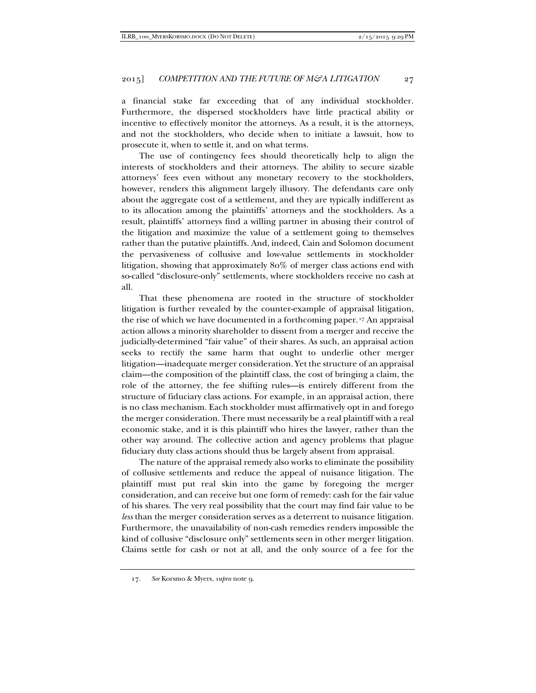a financial stake far exceeding that of any individual stockholder. Furthermore, the dispersed stockholders have little practical ability or incentive to effectively monitor the attorneys. As a result, it is the attorneys, and not the stockholders, who decide when to initiate a lawsuit, how to prosecute it, when to settle it, and on what terms.

The use of contingency fees should theoretically help to align the interests of stockholders and their attorneys. The ability to secure sizable attorneys' fees even without any monetary recovery to the stockholders, however, renders this alignment largely illusory. The defendants care only about the aggregate cost of a settlement, and they are typically indifferent as to its allocation among the plaintiffs' attorneys and the stockholders. As a result, plaintiffs' attorneys find a willing partner in abusing their control of the litigation and maximize the value of a settlement going to themselves rather than the putative plaintiffs. And, indeed, Cain and Solomon document the pervasiveness of collusive and low-value settlements in stockholder litigation, showing that approximately 80% of merger class actions end with so-called "disclosure-only" settlements, where stockholders receive no cash at all.

That these phenomena are rooted in the structure of stockholder litigation is further revealed by the counter-example of appraisal litigation, the rise of which we have documented in a forthcoming paper.[17](#page-8-0) An appraisal action allows a minority shareholder to dissent from a merger and receive the judicially-determined "fair value" of their shares. As such, an appraisal action seeks to rectify the same harm that ought to underlie other merger litigation—inadequate merger consideration. Yet the structure of an appraisal claim—the composition of the plaintiff class, the cost of bringing a claim, the role of the attorney, the fee shifting rules—is entirely different from the structure of fiduciary class actions. For example, in an appraisal action, there is no class mechanism. Each stockholder must affirmatively opt in and forego the merger consideration. There must necessarily be a real plaintiff with a real economic stake, and it is this plaintiff who hires the lawyer, rather than the other way around. The collective action and agency problems that plague fiduciary duty class actions should thus be largely absent from appraisal.

The nature of the appraisal remedy also works to eliminate the possibility of collusive settlements and reduce the appeal of nuisance litigation. The plaintiff must put real skin into the game by foregoing the merger consideration, and can receive but one form of remedy: cash for the fair value of his shares. The very real possibility that the court may find fair value to be *less* than the merger consideration serves as a deterrent to nuisance litigation. Furthermore, the unavailability of non-cash remedies renders impossible the kind of collusive "disclosure only" settlements seen in other merger litigation. Claims settle for cash or not at all, and the only source of a fee for the

<span id="page-8-0"></span><sup>17.</sup> *See* Korsmo & Myers, *supra* note 9.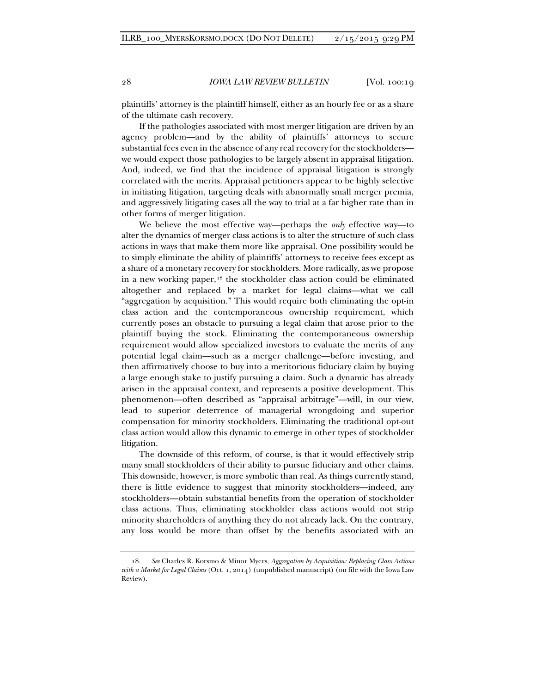plaintiffs' attorney is the plaintiff himself, either as an hourly fee or as a share of the ultimate cash recovery.

If the pathologies associated with most merger litigation are driven by an agency problem—and by the ability of plaintiffs' attorneys to secure substantial fees even in the absence of any real recovery for the stockholders we would expect those pathologies to be largely absent in appraisal litigation. And, indeed, we find that the incidence of appraisal litigation is strongly correlated with the merits. Appraisal petitioners appear to be highly selective in initiating litigation, targeting deals with abnormally small merger premia, and aggressively litigating cases all the way to trial at a far higher rate than in other forms of merger litigation.

We believe the most effective way—perhaps the *only* effective way—to alter the dynamics of merger class actions is to alter the structure of such class actions in ways that make them more like appraisal. One possibility would be to simply eliminate the ability of plaintiffs' attorneys to receive fees except as a share of a monetary recovery for stockholders. More radically, as we propose in a new working paper,<sup>[18](#page-9-0)</sup> the stockholder class action could be eliminated altogether and replaced by a market for legal claims—what we call "aggregation by acquisition." This would require both eliminating the opt-in class action and the contemporaneous ownership requirement, which currently poses an obstacle to pursuing a legal claim that arose prior to the plaintiff buying the stock. Eliminating the contemporaneous ownership requirement would allow specialized investors to evaluate the merits of any potential legal claim—such as a merger challenge—before investing, and then affirmatively choose to buy into a meritorious fiduciary claim by buying a large enough stake to justify pursuing a claim. Such a dynamic has already arisen in the appraisal context, and represents a positive development. This phenomenon—often described as "appraisal arbitrage"—will, in our view, lead to superior deterrence of managerial wrongdoing and superior compensation for minority stockholders. Eliminating the traditional opt-out class action would allow this dynamic to emerge in other types of stockholder litigation.

The downside of this reform, of course, is that it would effectively strip many small stockholders of their ability to pursue fiduciary and other claims. This downside, however, is more symbolic than real. As things currently stand, there is little evidence to suggest that minority stockholders—indeed, any stockholders—obtain substantial benefits from the operation of stockholder class actions. Thus, eliminating stockholder class actions would not strip minority shareholders of anything they do not already lack. On the contrary, any loss would be more than offset by the benefits associated with an

<span id="page-9-0"></span><sup>18.</sup> *See* Charles R. Korsmo & Minor Myers, *Aggregation by Acquisition: Replacing Class Actions with a Market for Legal Claims* (Oct. 1, 2014) (unpublished manuscript) (on file with the Iowa Law Review).